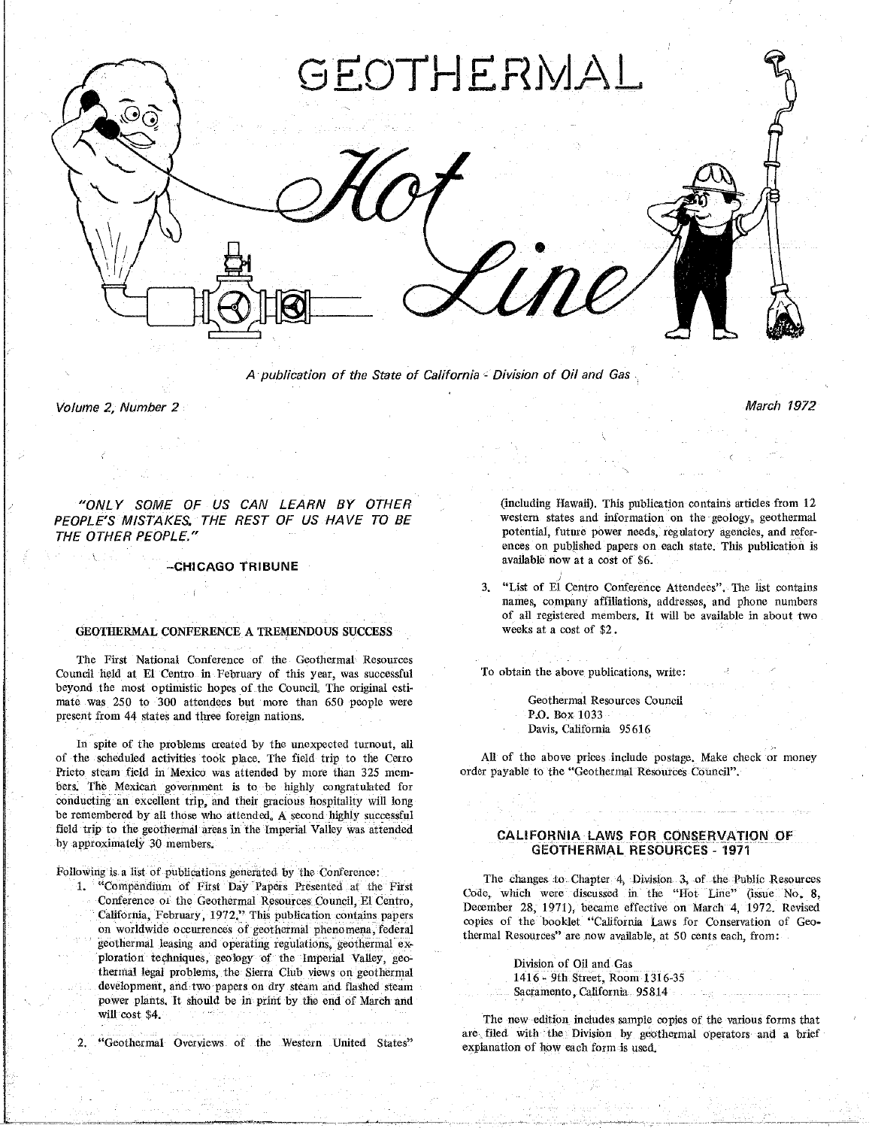

A publication of the State of California - Division of Oil and Gas

Volume 2, Number 2, Number 2, Number 2, Number 2, Number 2, Number 2, Number 2, Number 2, Number 2, Number 2, N

"ONLY SOME OF US CAN LEARN BY OTHER (including Hawaii). This publication contains articles from 12<br>PEOPLE'S MISTAKES. THE REST OF US HAVE TO BE western states and information on the geology, geothermal *PEOPLE*<sup>\*</sup><br> *PEOPLE*<sup>\*</sup><br> *PEOPLE*<sup>\*</sup>

--CHICAGO TRIBUNE available now at a co**st** of \$6.

### **GEOTHERMAL CONFERENCE A TREMENDOUS SUCCESS**

The First National Conference of the Geothermal Resources Council held at E1 Centro in February of this year, was successful To obtain the above publications, write:<br>beyond the most optimistic hopes of the Council, The original estimate was 250 to 300 attendees but more than 650 people were present from 44 states and three foreign nations. The council Resource of the P.O. Box 1033

In spite of the problems created by the unexpected turnout, all of the scheduled activities took place. The field trip to the Cerro of the scheduled activities took place. The field trip to the Cerro All of the above prices include postage. Make check or money<br>Prieto steam field in Mexico was attended by more than 325 mem- order payable to the "Geother bers. The Mexican government is to be highly congratulated for conducting an excellent trip, and their gracious hospitality will long be remembered by all those who attended. A second highly successful field trip to the geothermal areas in the Imperial Valley was attended field trip to the geothermal areas in the Imperial Valley was attended CALIFORNIA LAWS FOR CONSERVATION OF<br>by approximately 30 members.

Following is a list of publications generated by the Conference:<br>1. "Compendium of First Day Papers Presented at the First

on worldwide occurrences of geothermal phenomena, federal copies of the booklet California Laws for Conservation of George thermal Resources<sup>3</sup> are now available, at 50 cents each, from: geothermal leasing and operating regulations, geothermal exploration techniques, geology of the Imperial Valley, geoploration techniques, geology of the imperial valley, geo-<br>
thermal legal problems, the Sierra Club views on geothermal and the set of Oil and Gas development, and two papers on dry steam and flashed steam Sacramento, California 95814 power plants. It should be in print by the end of March and **flashed steam Sacraments**, California 95814.

 $2<sup>1</sup>$ 

ences on published papers on each state. This publication is available now at a cost of \$6.

3. "List of E1 Centre Conference Attendees". The list contain**s** of all registered members. It will be available in about two weeks at a cost of \$2.

Geothermal Resources Council present from 44 state**s** and three foreign nations. P**.**O**.** Box 1033 Davis, California 95616

# by approximately 30 members. **GE**O**T**H**E**RM**AL RESOU**R**C**E**S** - 1**971**

The changes to Chapter 4, Division 3, of the Public Resources<br>
"Compendium of First Day Papers Presented at the First Code, which were discussed in the "Hot Line" (issue No. 8,<br>
Code, which were discussed in the "Hot Line" California, February, 1972." This publication contains papers opies of the booklet "California Laws for Conservation of Geo-

will cost \$4.<br>
Western United States' The new edition includes sample copies of the various forms that<br>
"Geothermal Overviews of the Western United States" explanation of how gick form is wed  $\epsilon$ xplanation of how each form is used. 2. "Geothermal Overviews of the Western Uulted Sta**t**es" explanation **o**f how each form is used**.**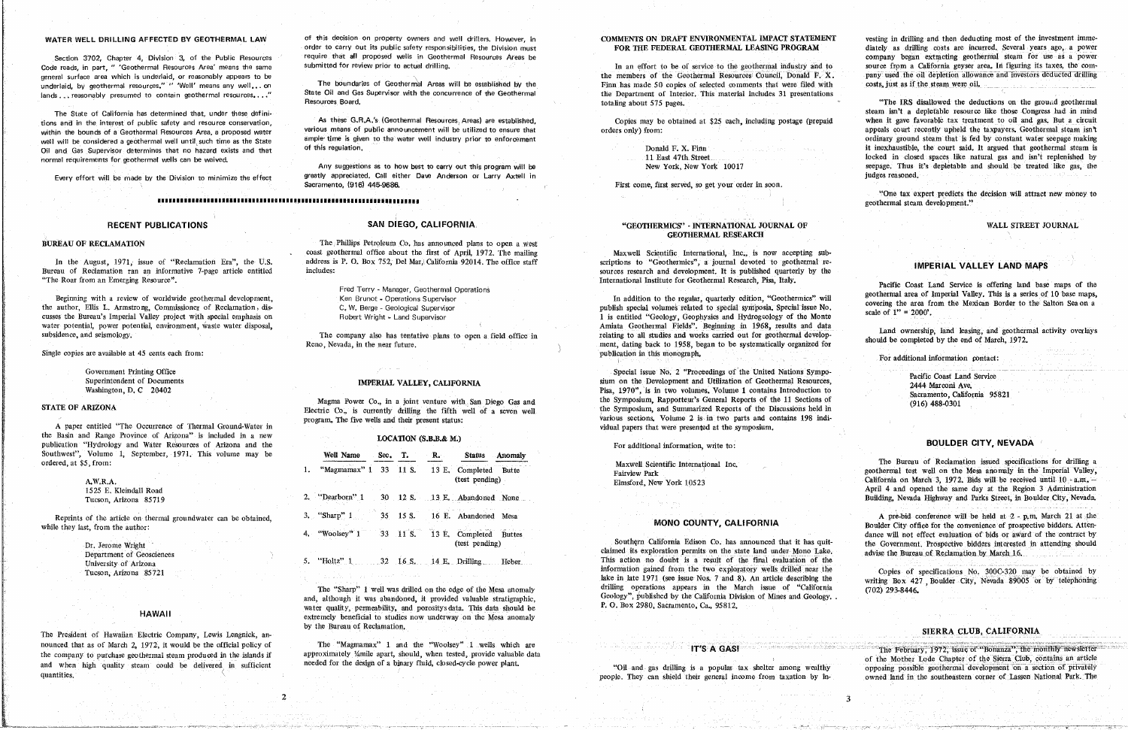general surface area which is underlaid, or reasonably appears to be the security of the Geotherman Resources Council, Donald F. X. pany used the oil depletion allowance and investors deducted drilling underlaid, by geothermal resources," " Well' means any well,..on The boundaries of Geothermal Areas will be established by the Finn has made 50 copies of selected comments that were filed with costs, just as if the steam w lands ... reasonably presumed to contain geothermal resources..." State Oil and Gas Supervisor with the concurrence of the Geothermal the Department of Interior. This material includes 31 presentations

require that all proposed wells in Geothermal Resources Areas be the company began extracting geothermal steam for use as a power

Resources Road and the company of the company of the company of the company of the company of the company of the company of the company of the company of the company of the company of the company of the company of the comp

greatly appreciated, Call either Dave Anderson or Larry Axtell in the control of the control of the control of the control of the control of the control of the control of the control of the control of the control of the co Every effort will be made by the Division to minimize the effect greatly appreciated. Call either Dave Anderson or Larry Axtell in<br>Sacramento, (916) 445-9686. **Sacr**am**ento**,**(9**1**6) 445**-**9686. F**k**s**t **co**m**e,** fir**st s**erve**d,so**get y**our ord**er **i**n s**oo**n.

# 

 $\overline{2}$ 

In the August, 1971, issue of "Reclamation Era", the U.S. "The Roar from an Emerging Resource". The Roardinal Institute for Geothermal Research, Pisa, Italy.

ctores of the author, East C. Annual Special Supervisor<br>
C. W. Belge - Geological Supervisor<br>
Robert Wright - Land Supervisor<br>
Robert Wright - Land Supervisor<br>
Amiata Geothermal Fields". Beginning in 1968, results and data

Single copies are available at 45 cents each from:

A paper entitled "The Occurrence of Thermal Ground-Water in the Basin and Range Province of Arizona" is included in a new **LOCATION (S.B.B.& M.)** publication "Hydrology and Water Resources of Arizona and the publication "Hydrology and Water Resources of Arizona and the Formation and the Formation, write to:<br>
Southwest", Volume 1, September, 1971, This volume may be **Well Name** Sec. T. R. Status Anomaly ordered, at \$5, from:

# $A.W.R.A.$

# **HAWAII**

The President of Hawaiian Electric Company, Lewis Lengnick, an-<br>nounced that as of March 2, 1972, it would be the official policy of The "Magmamax" 1 and the "Woolsey" 1 wells which are<br>The February, 1972, issue of "Bonanz

BUREAU OF RECLAMATION The Phillips Petroleum Co. has announced plans to open a west<br>coast geothermal office about the first of April, 1972. The mailing coast geothermal office about the first of April, 1972. The mailing Maxwell Scientific International, Inc., is now accepting sub-<br>address is P. O. Box 752, Del Mar, California 92014. The office staff scriptions to "Geother In the August, 1971, issue of Reclamation Era", the U.S. address is P. O. Box 752, Det Mar, Cautornia 92014. The office staff scriptions to "Geothermics", a journal devoted to geothermal re-<br>Bureau of Reclamation ran an in

Ken Brunot - Operations Supervisor

Report of the systematically organized for should be completed by the end of March, 1972.<br>Report the near future. The end of March, 1972.

Flectric Co., is currently drilling the fifth well of a seven well program. The five wells and their present status:<br>
Warious sections. Volume 2 is in two parts and contains 198 indi-

### $\sim$ GEO**T**H**E**R*b*lAL RE**S**E*A*R**CH**

Amiata Geothermal Fields". Beginning in 1968, results and data subsidence, and seismology. The company also has tentative plans to open a field office in relating to all studies and works carried out for geothermal develop-Rcno, Nevada, in **t**he near fu**t**ure, recur, dating back **t**o 1958, began **t**o be **s**y**st**emati**c**al**l**y organized for **s**hould be completed by the end of March, 1972*,*

Government Printing Office Coast Land Service<br>
Special issue No. *2* Proceedings of the United Nations Sympo-<br>
Sum on the Development and Utilization of Geothermal Resources,<br>
Pisa, 1970", is in two volumes, Volume 1 conta Pisa, 1970", is in two volumes. Volume 1 contains Introduction to Sacramento, California 95821 Magma Power Co., in a joint venture with San Diego Gas and the Symposium, Rapporteur's General Reports of the 11 Sections of Sacramento, California 1 contains Interventure with San Diego Gas and the Symposium, and Summariz vidual papers that were presented at the symposium.

University of Arizona 35721 **the Arizona** 35721 **holds** the mass and the mass and the final evaluation of the final evaluation of the final evaluation of the final evaluation of the final evaluation of the final evaluation drilling operations appears in the March issue of "California (702) 293-8446, The "Sharp" 1 well was drilled on the edge of the Mesa anomaly drilling operations appears in the March issue of "California" and, although it was abandoned, it provided valuable stratigraphic, Geology", published by the C

ing the theory of the company of the company of the company of the company of the company of the company of th<br>The three company of the company of the company of the company of the company of the company of the company of

"O**n**e **t**ax expert **p**re**d**icts **t**he **d**ecisi**on** will a**ttr**act new m**o**ney t**o** IIIIII**I**IIIIIIIIIIIII**I**IIIIl**ll**llli|llll**l**llllllllllll|**l**ll**l**lllll**l**llSll**l**l**l**l geo**t**hermal **s**team d**ev**elopme**nt**."

Example Roar from an Emerging Resource.<br>
Beginning with a review of worldwide geothermal development, Ken Brunot - Operations Supervisor and an Emerginal Research, Pisa, Italy. Pacific Coast Land Service is offering land b author, Ellis L. Armstrong, Commissioner of Reclamation, dis-<br>
C. W. Berge - Geological Supervisor<br>
C. W. Berge - Geological Supervisor<br>
Publish special symposia, Special symposia, Special issue No.<br>
scale of 1" = 2000"<br>
s

Land ownership, land leasing, and geothermal activity overlays

and, although it was abandoned, i. provided valuable stratigraphic,  $P$ ,  $O$ ,  $B \propto 2980$ , Sacramento, Ca., 95812. extremely beneficial to studies now underway on the Mesa anomaly  $H_{\text{M}}$  the Duraan of Bashmatian by the Bureau of Reclamation.

the company to purchase geothermal steam produced in the islands if approximately 14mile apart, should, when tested, provide valuable data and when high online of the Sierra Club, contains an article

quantities. They can shield their general income from taxation by income from the southeastern corner of Lassen National Park. The quantities, people. They can shield their general income f\_om **t**axa**t**ion by ha- owned land in **t**he **s**outh**e**a**s**tern corner of Lessen Na**t**ional Park. The

 $\ddot{\bm{z}}$ 

WATER WELL DRILLING AFFECTED BY GEOTHERMAL LAW of this decision on property owners and well drillers. However, in<br>order to carry out its public safety responsibilities, the Division must FOR THE FEDERAL GEOTHERMAL LEASING Section 3702, Chapter 4, Division 3, of the Public Resources require that all proposed wells in Geothermal Resources Areas be content of the geothermal industry and to company began extracting geothermal steam for use as a

**Resourdance is the IRS disallowed the deductions on the ground geothermal steam isn't a depletable resource like those Congress had in mind** The State of California has determined that, under these defini-<br>tions and in the interest of public safety and resource conservation, has these G.R.A.'s (Geothermal Resources, Areas) are established, Copies may be obtaine within the bounds of a Geothermal Resources Area, a proposed water various means of public announcement will be utilized to ensure that orders only) from: appeals court recently upheld the taxpayers. Geothermal steam isn't well will be considered a geothermal well until such time as the State ample time is given to the water well industry prior to enforcement ordinary error and the state ordinary ground steam that is fed by constant water se Donald F. X. Finn it inexhaustible, the court said. It argued that geothermal steam is normal requirements for geothermal wells can be waived, and that the waived, and that the matter of the matter of the matter of the matter of the matter of the matter of the matter of the matter of the matter of the matter Any suggestions as to how best to carry out this program will be Mew York, New York, New York 10017 seepage. Thus it's depletable and should be treated like gas, the

Single copies are available at 45 cents each from: publication in **t**his monograph. For addi**t**ional informa**t**ion l:onraet:

# **BOULDER CITY NEVADA**

information gained from the two exploratory wells drilled near the copies of specifications No. 300C-320 may be obtained by lake in late 1971 (see issue Nos. 7 and 8). An article describing the virting Box 427 Boulder City

### SIERRA CLUB, CALIFORNIA

and when high quality steam could be delivered in sufficient needed for the design of a binary fluid, closed-cycle power plant. "Oil and gas drilling is a popular tax shelter among wealthy opposing possible geothermal deve

|                                                                                 |                                                                                                           | I OI WANNISOIKA AMIOIIKAUJOIN VIIIV LO                                                                                                |                                                                                                                                                                                                                                                                                                                                                                                                    |
|---------------------------------------------------------------------------------|-----------------------------------------------------------------------------------------------------------|---------------------------------------------------------------------------------------------------------------------------------------|----------------------------------------------------------------------------------------------------------------------------------------------------------------------------------------------------------------------------------------------------------------------------------------------------------------------------------------------------------------------------------------------------|
| Volume 1, September, 1971, This volume may be<br>55. from:<br>A.W.R.A.          | Well Name<br>Sec. 1<br>Status Anomaly<br>"Magmamax" 1 33 11 S.<br>13 E. Completed Butte<br>(test pending) | Maxwell Scientific International Inc.<br>Fairview Park<br>Elmsford, New York 10523                                                    | The Bureau of Reclamation issued specifications for drilling a<br>geothermal test well on the Mesa anomaly in the Imperial Valley,<br>California on March 3, 1972, Bids will be received until $10 - a.m.$<br>April 4 and opened the same day at the Region 3 Administration                                                                                                                       |
| 1525 E. Kleindall Road<br>Tucson Arizona 85719                                  | 13 E. Abandoned None<br>"Dearborn"<br>30 12 S.                                                            |                                                                                                                                       | Building, Nevada Highway and Parks Street, in Boulder City, Nevada.                                                                                                                                                                                                                                                                                                                                |
| of the article on thermal groundwater can be obtained.<br>ust, from the author: | $3.$ "Sharp" 1<br>16 E. Abandoned Mesa<br>$35 \quad 15 \text{ s.}$                                        | MONO COUNTY, CALIFORNIA                                                                                                               | A pre-bid conference will be held at 2 - p.m. March 21 at the<br>Boulder City office for the convenience of prospective bidders. Atten-<br>dance will not effect evaluation of bids or award of the contract by<br>the Government. Prospective bidders interested in attending should<br>advise the Bureau of Reclamation by March 16.<br>Copies of specifications No. 300C-320 may be obtained by |
| Dr. Jerome Wright<br>Department of Geosciences                                  | "Woolsey" 1<br>13 E. Completed Buttes<br>$-33$ 11 S.<br>(test pending)                                    | Southern California Edison Co. has announced that it has quit-<br>claimed its exploration permits on the state land under Mono Lake.  |                                                                                                                                                                                                                                                                                                                                                                                                    |
| University of Arizona<br>Tuggan Arizona 05701                                   | "Holtz" 1<br>32 16 S.<br>14 E. Drilling Heber                                                             | This action no doubt is a result of the final evaluation of the<br>information gained from the two exploratory wells drilled near the |                                                                                                                                                                                                                                                                                                                                                                                                    |